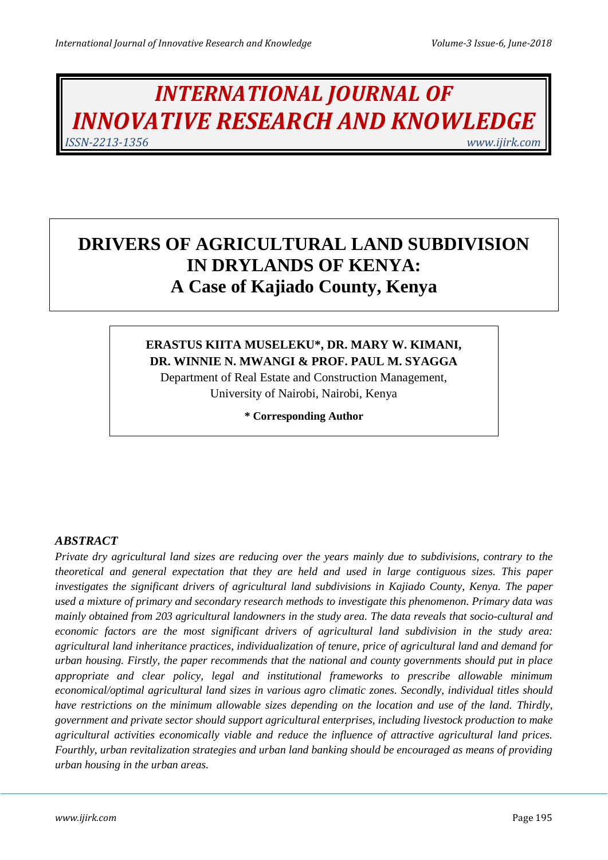# *INTERNATIONAL JOURNAL OF INNOVATIVE RESEARCH AND KNOWLEDGE ISSN-2213-1356 www.ijirk.com*

## **DRIVERS OF AGRICULTURAL LAND SUBDIVISION IN DRYLANDS OF KENYA: A Case of Kajiado County, Kenya**

## **ERASTUS KIITA MUSELEKU\*, DR. MARY W. KIMANI, DR. WINNIE N. MWANGI & PROF. PAUL M. SYAGGA**

Department of Real Estate and Construction Management, University of Nairobi, Nairobi, Kenya

**\* Corresponding Author**

## *ABSTRACT*

*Private dry agricultural land sizes are reducing over the years mainly due to subdivisions, contrary to the theoretical and general expectation that they are held and used in large contiguous sizes. This paper investigates the significant drivers of agricultural land subdivisions in Kajiado County, Kenya. The paper used a mixture of primary and secondary research methods to investigate this phenomenon. Primary data was mainly obtained from 203 agricultural landowners in the study area. The data reveals that socio-cultural and economic factors are the most significant drivers of agricultural land subdivision in the study area: agricultural land inheritance practices, individualization of tenure, price of agricultural land and demand for urban housing. Firstly, the paper recommends that the national and county governments should put in place appropriate and clear policy, legal and institutional frameworks to prescribe allowable minimum economical/optimal agricultural land sizes in various agro climatic zones. Secondly, individual titles should have restrictions on the minimum allowable sizes depending on the location and use of the land. Thirdly, government and private sector should support agricultural enterprises, including livestock production to make agricultural activities economically viable and reduce the influence of attractive agricultural land prices. Fourthly, urban revitalization strategies and urban land banking should be encouraged as means of providing urban housing in the urban areas.*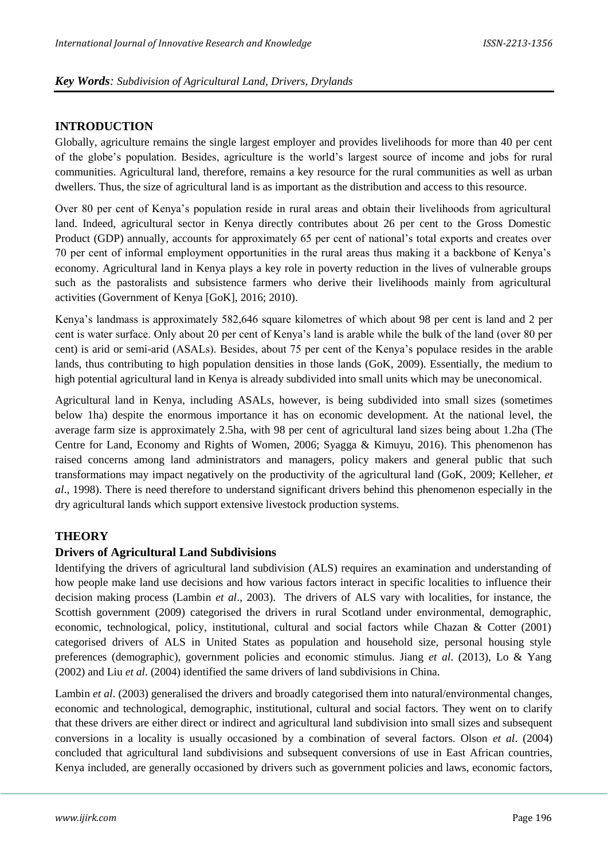#### **INTRODUCTION**

Globally, agriculture remains the single largest employer and provides livelihoods for more than 40 per cent of the globe's population. Besides, agriculture is the world's largest source of income and jobs for rural communities. Agricultural land, therefore, remains a key resource for the rural communities as well as urban dwellers. Thus, the size of agricultural land is as important as the distribution and access to this resource.

Over 80 per cent of Kenya's population reside in rural areas and obtain their livelihoods from agricultural land. Indeed, agricultural sector in Kenya directly contributes about 26 per cent to the Gross Domestic Product (GDP) annually, accounts for approximately 65 per cent of national's total exports and creates over 70 per cent of informal employment opportunities in the rural areas thus making it a backbone of Kenya's economy. Agricultural land in Kenya plays a key role in poverty reduction in the lives of vulnerable groups such as the pastoralists and subsistence farmers who derive their livelihoods mainly from agricultural activities (Government of Kenya [GoK], 2016; 2010).

Kenya's landmass is approximately 582,646 square kilometres of which about 98 per cent is land and 2 per cent is water surface. Only about 20 per cent of Kenya's land is arable while the bulk of the land (over 80 per cent) is arid or semi-arid (ASALs). Besides, about 75 per cent of the Kenya's populace resides in the arable lands, thus contributing to high population densities in those lands (GoK, 2009). Essentially, the medium to high potential agricultural land in Kenya is already subdivided into small units which may be uneconomical.

Agricultural land in Kenya, including ASALs, however, is being subdivided into small sizes (sometimes below 1ha) despite the enormous importance it has on economic development. At the national level, the average farm size is approximately 2.5ha, with 98 per cent of agricultural land sizes being about 1.2ha (The Centre for Land, Economy and Rights of Women, 2006; Syagga & Kimuyu, 2016). This phenomenon has raised concerns among land administrators and managers, policy makers and general public that such transformations may impact negatively on the productivity of the agricultural land (GoK, 2009; Kelleher, *et al*., 1998). There is need therefore to understand significant drivers behind this phenomenon especially in the dry agricultural lands which support extensive livestock production systems.

## **THEORY**

#### **Drivers of Agricultural Land Subdivisions**

Identifying the drivers of agricultural land subdivision (ALS) requires an examination and understanding of how people make land use decisions and how various factors interact in specific localities to influence their decision making process (Lambin *et al*., 2003). The drivers of ALS vary with localities, for instance, the Scottish government (2009) categorised the drivers in rural Scotland under environmental, demographic, economic, technological, policy, institutional, cultural and social factors while Chazan & Cotter (2001) categorised drivers of ALS in United States as population and household size, personal housing style preferences (demographic), government policies and economic stimulus. Jiang *et al*. (2013), Lo & Yang (2002) and Liu *et al*. (2004) identified the same drivers of land subdivisions in China.

Lambin *et al.* (2003) generalised the drivers and broadly categorised them into natural/environmental changes, economic and technological, demographic, institutional, cultural and social factors. They went on to clarify that these drivers are either direct or indirect and agricultural land subdivision into small sizes and subsequent conversions in a locality is usually occasioned by a combination of several factors. Olson *et al*. (2004) concluded that agricultural land subdivisions and subsequent conversions of use in East African countries, Kenya included, are generally occasioned by drivers such as government policies and laws, economic factors,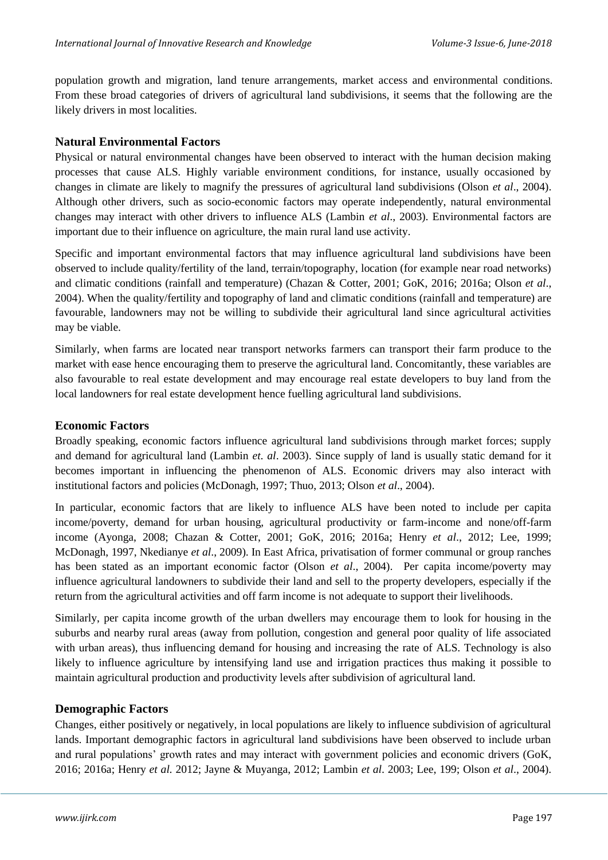population growth and migration, land tenure arrangements, market access and environmental conditions. From these broad categories of drivers of agricultural land subdivisions, it seems that the following are the likely drivers in most localities.

#### **Natural Environmental Factors**

Physical or natural environmental changes have been observed to interact with the human decision making processes that cause ALS. Highly variable environment conditions, for instance, usually occasioned by changes in climate are likely to magnify the pressures of agricultural land subdivisions (Olson *et al*., 2004). Although other drivers, such as socio-economic factors may operate independently, natural environmental changes may interact with other drivers to influence ALS (Lambin *et al*., 2003). Environmental factors are important due to their influence on agriculture, the main rural land use activity.

Specific and important environmental factors that may influence agricultural land subdivisions have been observed to include quality/fertility of the land, terrain/topography, location (for example near road networks) and climatic conditions (rainfall and temperature) (Chazan & Cotter, 2001; GoK, 2016; 2016a; Olson *et al*., 2004). When the quality/fertility and topography of land and climatic conditions (rainfall and temperature) are favourable, landowners may not be willing to subdivide their agricultural land since agricultural activities may be viable.

Similarly, when farms are located near transport networks farmers can transport their farm produce to the market with ease hence encouraging them to preserve the agricultural land. Concomitantly, these variables are also favourable to real estate development and may encourage real estate developers to buy land from the local landowners for real estate development hence fuelling agricultural land subdivisions.

#### **Economic Factors**

Broadly speaking, economic factors influence agricultural land subdivisions through market forces; supply and demand for agricultural land (Lambin *et. al*. 2003). Since supply of land is usually static demand for it becomes important in influencing the phenomenon of ALS. Economic drivers may also interact with institutional factors and policies (McDonagh, 1997; Thuo, 2013; Olson *et al*., 2004).

In particular, economic factors that are likely to influence ALS have been noted to include per capita income/poverty, demand for urban housing, agricultural productivity or farm-income and none/off-farm income (Ayonga, 2008; Chazan & Cotter, 2001; GoK, 2016; 2016a; Henry *et al*., 2012; Lee, 1999; McDonagh, 1997, Nkedianye *et al*., 2009). In East Africa, privatisation of former communal or group ranches has been stated as an important economic factor (Olson *et al*., 2004). Per capita income/poverty may influence agricultural landowners to subdivide their land and sell to the property developers, especially if the return from the agricultural activities and off farm income is not adequate to support their livelihoods.

Similarly, per capita income growth of the urban dwellers may encourage them to look for housing in the suburbs and nearby rural areas (away from pollution, congestion and general poor quality of life associated with urban areas), thus influencing demand for housing and increasing the rate of ALS. Technology is also likely to influence agriculture by intensifying land use and irrigation practices thus making it possible to maintain agricultural production and productivity levels after subdivision of agricultural land.

#### **Demographic Factors**

Changes, either positively or negatively, in local populations are likely to influence subdivision of agricultural lands. Important demographic factors in agricultural land subdivisions have been observed to include urban and rural populations' growth rates and may interact with government policies and economic drivers (GoK, 2016; 2016a; Henry *et al.* 2012; Jayne & Muyanga, 2012; Lambin *et al*. 2003; Lee, 199; Olson *et al*., 2004).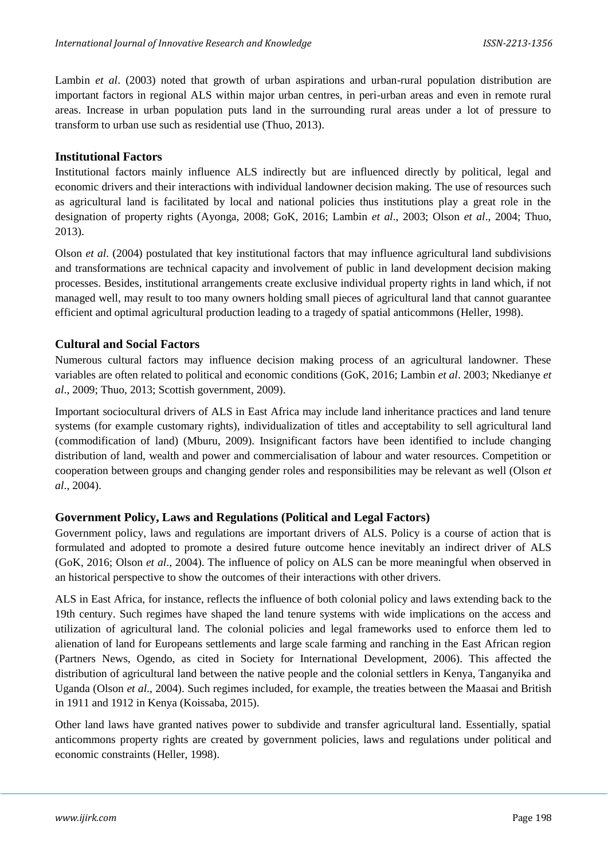Lambin *et al*. (2003) noted that growth of urban aspirations and urban-rural population distribution are important factors in regional ALS within major urban centres, in peri-urban areas and even in remote rural areas. Increase in urban population puts land in the surrounding rural areas under a lot of pressure to transform to urban use such as residential use (Thuo, 2013).

#### **Institutional Factors**

Institutional factors mainly influence ALS indirectly but are influenced directly by political, legal and economic drivers and their interactions with individual landowner decision making. The use of resources such as agricultural land is facilitated by local and national policies thus institutions play a great role in the designation of property rights (Ayonga, 2008; GoK, 2016; Lambin *et al*., 2003; Olson *et al*., 2004; Thuo, 2013).

Olson *et al*. (2004) postulated that key institutional factors that may influence agricultural land subdivisions and transformations are technical capacity and involvement of public in land development decision making processes. Besides, institutional arrangements create exclusive individual property rights in land which, if not managed well, may result to too many owners holding small pieces of agricultural land that cannot guarantee efficient and optimal agricultural production leading to a tragedy of spatial anticommons (Heller, 1998).

#### **Cultural and Social Factors**

Numerous cultural factors may influence decision making process of an agricultural landowner. These variables are often related to political and economic conditions (GoK, 2016; Lambin *et al*. 2003; Nkedianye *et al*., 2009; Thuo, 2013; Scottish government, 2009).

Important sociocultural drivers of ALS in East Africa may include land inheritance practices and land tenure systems (for example customary rights), individualization of titles and acceptability to sell agricultural land (commodification of land) (Mburu, 2009). Insignificant factors have been identified to include changing distribution of land, wealth and power and commercialisation of labour and water resources. Competition or cooperation between groups and changing gender roles and responsibilities may be relevant as well (Olson *et al*., 2004).

## **Government Policy, Laws and Regulations (Political and Legal Factors)**

Government policy, laws and regulations are important drivers of ALS. Policy is a course of action that is formulated and adopted to promote a desired future outcome hence inevitably an indirect driver of ALS (GoK, 2016; Olson *et al*., 2004). The influence of policy on ALS can be more meaningful when observed in an historical perspective to show the outcomes of their interactions with other drivers.

ALS in East Africa, for instance, reflects the influence of both colonial policy and laws extending back to the 19th century. Such regimes have shaped the land tenure systems with wide implications on the access and utilization of agricultural land. The colonial policies and legal frameworks used to enforce them led to alienation of land for Europeans settlements and large scale farming and ranching in the East African region (Partners News, Ogendo, as cited in Society for International Development, 2006). This affected the distribution of agricultural land between the native people and the colonial settlers in Kenya, Tanganyika and Uganda (Olson *et al*., 2004). Such regimes included, for example, the treaties between the Maasai and British in 1911 and 1912 in Kenya (Koissaba, 2015).

Other land laws have granted natives power to subdivide and transfer agricultural land. Essentially, spatial anticommons property rights are created by government policies, laws and regulations under political and economic constraints (Heller, 1998).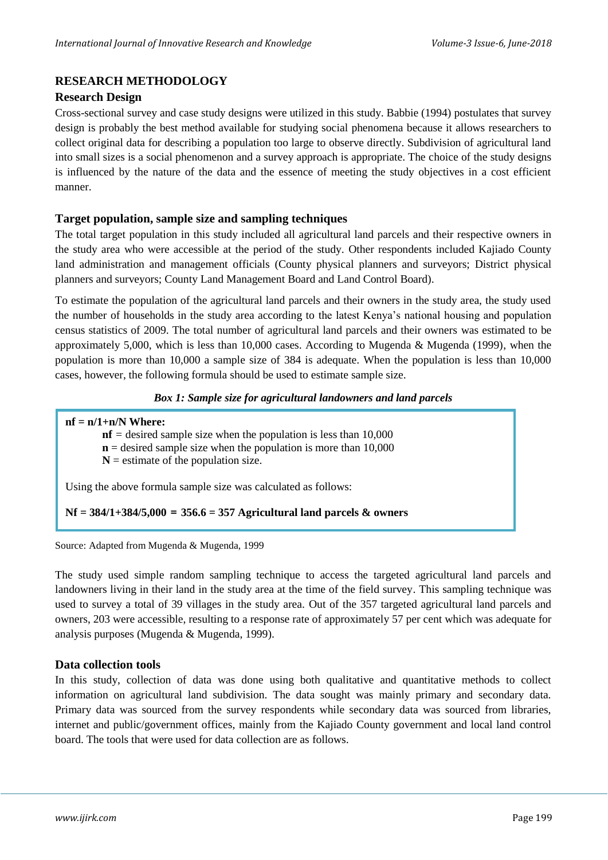## **RESEARCH METHODOLOGY**

#### **Research Design**

Cross-sectional survey and case study designs were utilized in this study. Babbie (1994) postulates that survey design is probably the best method available for studying social phenomena because it allows researchers to collect original data for describing a population too large to observe directly. Subdivision of agricultural land into small sizes is a social phenomenon and a survey approach is appropriate. The choice of the study designs is influenced by the nature of the data and the essence of meeting the study objectives in a cost efficient manner.

#### **Target population, sample size and sampling techniques**

The total target population in this study included all agricultural land parcels and their respective owners in the study area who were accessible at the period of the study. Other respondents included Kajiado County land administration and management officials (County physical planners and surveyors; District physical planners and surveyors; County Land Management Board and Land Control Board).

To estimate the population of the agricultural land parcels and their owners in the study area, the study used the number of households in the study area according to the latest Kenya's national housing and population census statistics of 2009. The total number of agricultural land parcels and their owners was estimated to be approximately 5,000, which is less than  $10,000$  cases. According to Mugenda & Mugenda (1999), when the population is more than 10,000 a sample size of 384 is adequate. When the population is less than 10,000 cases, however, the following formula should be used to estimate sample size.

#### *Box 1: Sample size for agricultural landowners and land parcels*

#### **nf = n/1+n/N Where:**

 $nf$  = desired sample size when the population is less than 10,000

- $n =$  desired sample size when the population is more than 10,000
- $N =$  estimate of the population size.

Using the above formula sample size was calculated as follows:

#### **Nf = 384/1+384/5,000 = 356.6 = 357 Agricultural land parcels & owners**

Source: Adapted from Mugenda & Mugenda, 1999

The study used simple random sampling technique to access the targeted agricultural land parcels and landowners living in their land in the study area at the time of the field survey. This sampling technique was used to survey a total of 39 villages in the study area. Out of the 357 targeted agricultural land parcels and owners, 203 were accessible, resulting to a response rate of approximately 57 per cent which was adequate for analysis purposes (Mugenda & Mugenda, 1999).

#### **Data collection tools**

In this study, collection of data was done using both qualitative and quantitative methods to collect information on agricultural land subdivision. The data sought was mainly primary and secondary data. Primary data was sourced from the survey respondents while secondary data was sourced from libraries, internet and public/government offices, mainly from the Kajiado County government and local land control board. The tools that were used for data collection are as follows.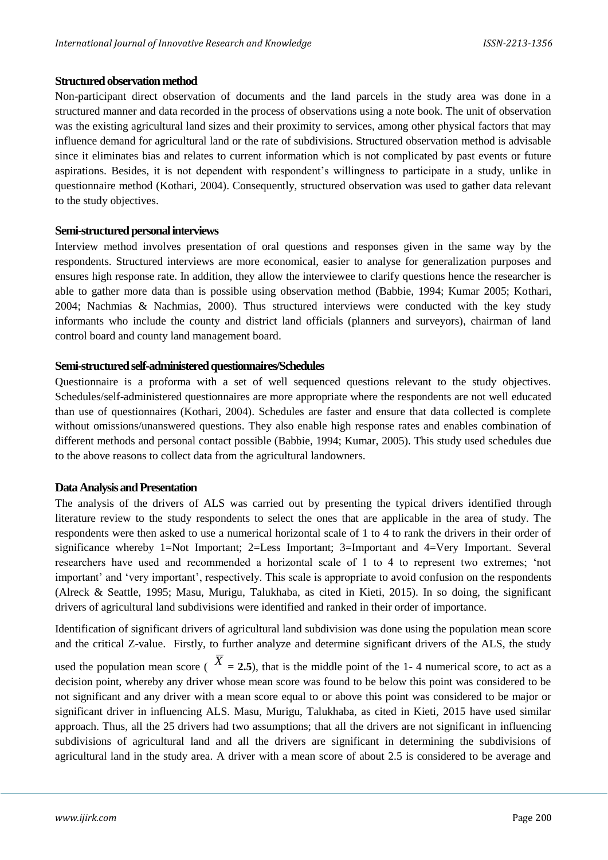#### **Structured observation method**

Non-participant direct observation of documents and the land parcels in the study area was done in a structured manner and data recorded in the process of observations using a note book. The unit of observation was the existing agricultural land sizes and their proximity to services, among other physical factors that may influence demand for agricultural land or the rate of subdivisions. Structured observation method is advisable since it eliminates bias and relates to current information which is not complicated by past events or future aspirations. Besides, it is not dependent with respondent's willingness to participate in a study, unlike in questionnaire method (Kothari, 2004). Consequently, structured observation was used to gather data relevant to the study objectives.

#### **Semi-structured personal interviews**

Interview method involves presentation of oral questions and responses given in the same way by the respondents. Structured interviews are more economical, easier to analyse for generalization purposes and ensures high response rate. In addition, they allow the interviewee to clarify questions hence the researcher is able to gather more data than is possible using observation method (Babbie, 1994; Kumar 2005; Kothari, 2004; Nachmias & Nachmias, 2000). Thus structured interviews were conducted with the key study informants who include the county and district land officials (planners and surveyors), chairman of land control board and county land management board.

#### **Semi-structured self-administered questionnaires/Schedules**

Questionnaire is a proforma with a set of well sequenced questions relevant to the study objectives. Schedules/self-administered questionnaires are more appropriate where the respondents are not well educated than use of questionnaires (Kothari, 2004). Schedules are faster and ensure that data collected is complete without omissions/unanswered questions. They also enable high response rates and enables combination of different methods and personal contact possible (Babbie, 1994; Kumar, 2005). This study used schedules due to the above reasons to collect data from the agricultural landowners.

#### **Data Analysis and Presentation**

The analysis of the drivers of ALS was carried out by presenting the typical drivers identified through literature review to the study respondents to select the ones that are applicable in the area of study. The respondents were then asked to use a numerical horizontal scale of 1 to 4 to rank the drivers in their order of significance whereby 1=Not Important; 2=Less Important; 3=Important and 4=Very Important. Several researchers have used and recommended a horizontal scale of 1 to 4 to represent two extremes; 'not important' and 'very important', respectively. This scale is appropriate to avoid confusion on the respondents (Alreck & Seattle, 1995; Masu, Murigu, Talukhaba, as cited in Kieti, 2015). In so doing, the significant drivers of agricultural land subdivisions were identified and ranked in their order of importance.

Identification of significant drivers of agricultural land subdivision was done using the population mean score and the critical Z-value. Firstly, to further analyze and determine significant drivers of the ALS, the study

used the population mean score ( $X = 2.5$ ), that is the middle point of the 1-4 numerical score, to act as a decision point, whereby any driver whose mean score was found to be below this point was considered to be not significant and any driver with a mean score equal to or above this point was considered to be major or significant driver in influencing ALS. Masu, Murigu, Talukhaba, as cited in Kieti, 2015 have used similar approach. Thus, all the 25 drivers had two assumptions; that all the drivers are not significant in influencing subdivisions of agricultural land and all the drivers are significant in determining the subdivisions of agricultural land in the study area. A driver with a mean score of about 2.5 is considered to be average and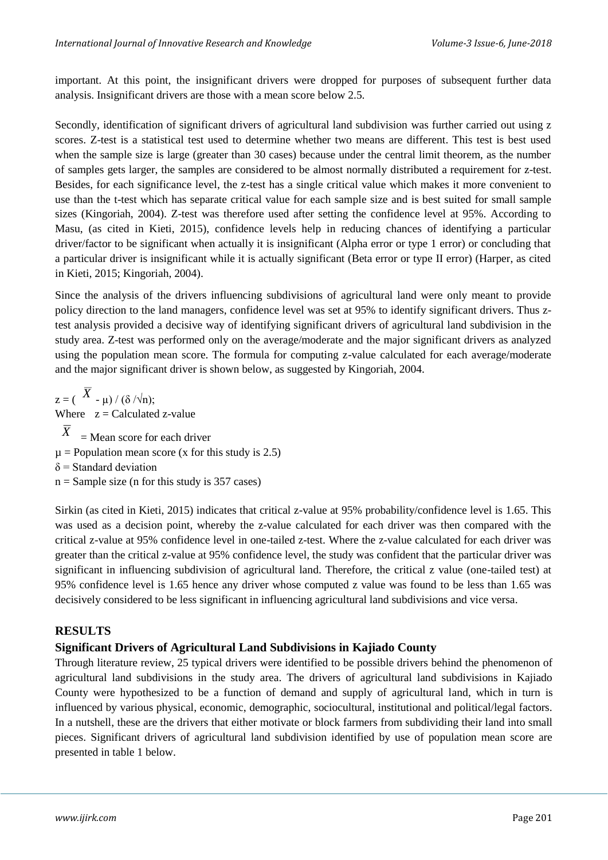important. At this point, the insignificant drivers were dropped for purposes of subsequent further data analysis. Insignificant drivers are those with a mean score below 2.5.

Secondly, identification of significant drivers of agricultural land subdivision was further carried out using z scores. Z-test is a statistical test used to determine whether two means are different. This test is best used when the sample size is large (greater than 30 cases) because under the central limit theorem, as the number of samples gets larger, the samples are considered to be almost normally distributed a requirement for z-test. Besides, for each significance level, the z-test has a single critical value which makes it more convenient to use than the t-test which has separate critical value for each sample size and is best suited for small sample sizes (Kingoriah, 2004). Z-test was therefore used after setting the confidence level at 95%. According to Masu, (as cited in Kieti, 2015), confidence levels help in reducing chances of identifying a particular driver/factor to be significant when actually it is insignificant (Alpha error or type 1 error) or concluding that a particular driver is insignificant while it is actually significant (Beta error or type II error) (Harper, as cited in Kieti, 2015; Kingoriah, 2004).

Since the analysis of the drivers influencing subdivisions of agricultural land were only meant to provide policy direction to the land managers, confidence level was set at 95% to identify significant drivers. Thus ztest analysis provided a decisive way of identifying significant drivers of agricultural land subdivision in the study area. Z-test was performed only on the average/moderate and the major significant drivers as analyzed using the population mean score. The formula for computing z-value calculated for each average/moderate and the major significant driver is shown below, as suggested by Kingoriah, 2004.

 $z = (\overline{X} - \mu) / (\delta / \sqrt{n});$ Where  $z =$  Calculated z-value  $\overline{X}$ = Mean score for each driver  $\mu$  = Population mean score (x for this study is 2.5)  $\delta$  = Standard deviation  $n =$  Sample size (n for this study is 357 cases)

Sirkin (as cited in Kieti, 2015) indicates that critical z-value at 95% probability/confidence level is 1.65. This was used as a decision point, whereby the z-value calculated for each driver was then compared with the critical z-value at 95% confidence level in one-tailed z-test. Where the z-value calculated for each driver was greater than the critical z-value at 95% confidence level, the study was confident that the particular driver was significant in influencing subdivision of agricultural land. Therefore, the critical z value (one-tailed test) at 95% confidence level is 1.65 hence any driver whose computed z value was found to be less than 1.65 was decisively considered to be less significant in influencing agricultural land subdivisions and vice versa.

#### **RESULTS**

#### **Significant Drivers of Agricultural Land Subdivisions in Kajiado County**

Through literature review, 25 typical drivers were identified to be possible drivers behind the phenomenon of agricultural land subdivisions in the study area. The drivers of agricultural land subdivisions in Kajiado County were hypothesized to be a function of demand and supply of agricultural land, which in turn is influenced by various physical, economic, demographic, sociocultural, institutional and political/legal factors. In a nutshell, these are the drivers that either motivate or block farmers from subdividing their land into small pieces. Significant drivers of agricultural land subdivision identified by use of population mean score are presented in table 1 below.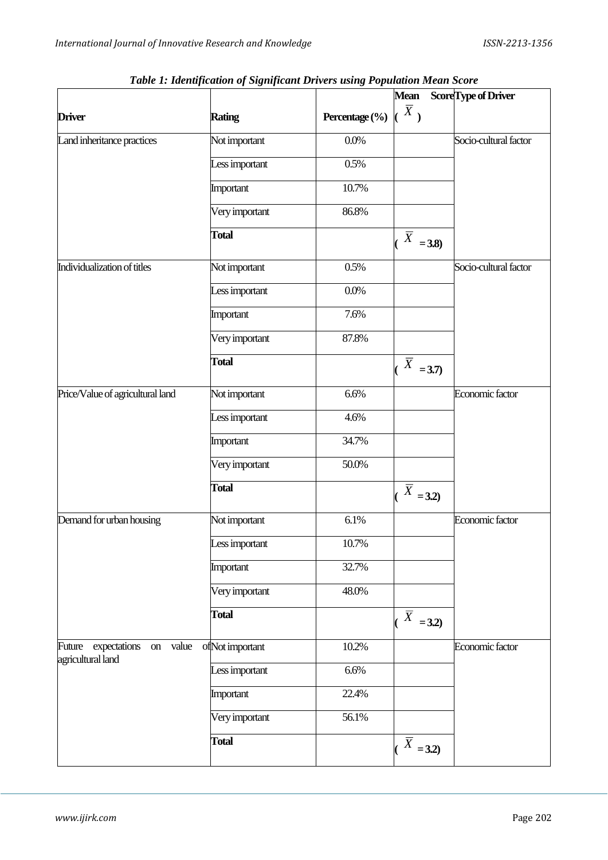|                                                         | Tubic 1. Tuchtgleunon of significant Drivers asing I opination mean score |                | <b>Mean</b>               | Score Type of Driver  |
|---------------------------------------------------------|---------------------------------------------------------------------------|----------------|---------------------------|-----------------------|
|                                                         |                                                                           |                | $\overline{X}$ )          |                       |
| <b>Driver</b>                                           | <b>Rating</b>                                                             | Percentage (%) |                           |                       |
| Land inheritance practices                              | Not important                                                             | 0.0%           |                           | Socio-cultural factor |
|                                                         | Less important                                                            | 0.5%           |                           |                       |
|                                                         | Important                                                                 | 10.7%          |                           |                       |
|                                                         | Very important                                                            | 86.8%          |                           |                       |
|                                                         | <b>Total</b>                                                              |                | $\bar{X}$<br>$= 3.8$      |                       |
| Individualization of titles                             | Not important                                                             | 0.5%           |                           | Socio-cultural factor |
|                                                         | Less important                                                            | 0.0%           |                           |                       |
|                                                         | Important                                                                 | 7.6%           |                           |                       |
|                                                         | Very important                                                            | 87.8%          |                           |                       |
|                                                         | <b>Total</b>                                                              |                | $\overline{X}$<br>$= 3.7$ |                       |
| Price/Value of agricultural land                        | Not important                                                             | 6.6%           |                           | Economic factor       |
|                                                         | Less important                                                            | 4.6%           |                           |                       |
|                                                         | Important                                                                 | 34.7%          |                           |                       |
|                                                         | Very important                                                            | 50.0%          |                           |                       |
|                                                         | <b>Total</b>                                                              |                | $\bar{X}$<br>$= 3.2$      |                       |
| Demand for urban housing                                | Not important                                                             | 6.1%           |                           | Economic factor       |
|                                                         | Less important                                                            | 10.7%          |                           |                       |
|                                                         | Important                                                                 | 32.7%          |                           |                       |
|                                                         | Very important                                                            | 48.0%          |                           |                       |
|                                                         | <b>Total</b>                                                              |                | $\overline{X}$<br>$= 3.2$ |                       |
| Future expectations<br>value<br>on<br>agricultural land | ofNot important                                                           | 10.2%          |                           | Economic factor       |
|                                                         | Less important                                                            | 6.6%           |                           |                       |
|                                                         | Important                                                                 | 22.4%          |                           |                       |
|                                                         | Very important                                                            | 56.1%          |                           |                       |
|                                                         | <b>Total</b>                                                              |                | $\overline{X}$ = 3.2)     |                       |

*Table 1: Identification of Significant Drivers using Population Mean Score*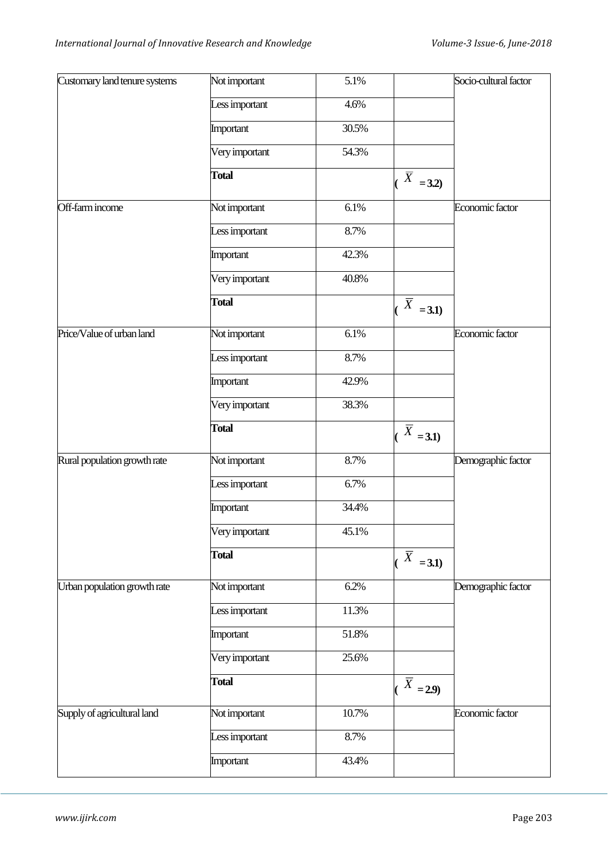| Customary land tenure systems | Not important  | 5.1%  |                           | Socio-cultural factor |
|-------------------------------|----------------|-------|---------------------------|-----------------------|
|                               | Less important | 4.6%  |                           |                       |
|                               | Important      | 30.5% |                           |                       |
|                               | Very important | 54.3% |                           |                       |
|                               | <b>Total</b>   |       | $\bar{X}$<br>$= 3.2$      |                       |
| Off-farm income               | Not important  | 6.1%  |                           | Economic factor       |
|                               | Less important | 8.7%  |                           |                       |
|                               | Important      | 42.3% |                           |                       |
|                               | Very important | 40.8% |                           |                       |
|                               | <b>Total</b>   |       | $\bar{X}$<br>$= 3.1$      |                       |
| Price/Value of urban land     | Not important  | 6.1%  |                           | Economic factor       |
|                               | Less important | 8.7%  |                           |                       |
|                               | Important      | 42.9% |                           |                       |
|                               | Very important | 38.3% |                           |                       |
|                               | <b>Total</b>   |       | $\overline{X}$<br>$= 3.1$ |                       |
| Rural population growth rate  | Not important  | 8.7%  |                           | Demographic factor    |
|                               | Less important | 6.7%  |                           |                       |
|                               | Important      | 34.4% |                           |                       |
|                               | Very important | 45.1% |                           |                       |
|                               | <b>Total</b>   |       | $\bar{X}$<br>$= 3.1$      |                       |
| Urban population growth rate  | Not important  | 6.2%  |                           | Demographic factor    |
|                               | Less important | 11.3% |                           |                       |
|                               | Important      | 51.8% |                           |                       |
|                               | Very important | 25.6% |                           |                       |
|                               | <b>Total</b>   |       | $\overline{X}$ = 2.9)     |                       |
| Supply of agricultural land   | Not important  | 10.7% |                           | Economic factor       |
|                               | Less important | 8.7%  |                           |                       |
|                               | Important      | 43.4% |                           |                       |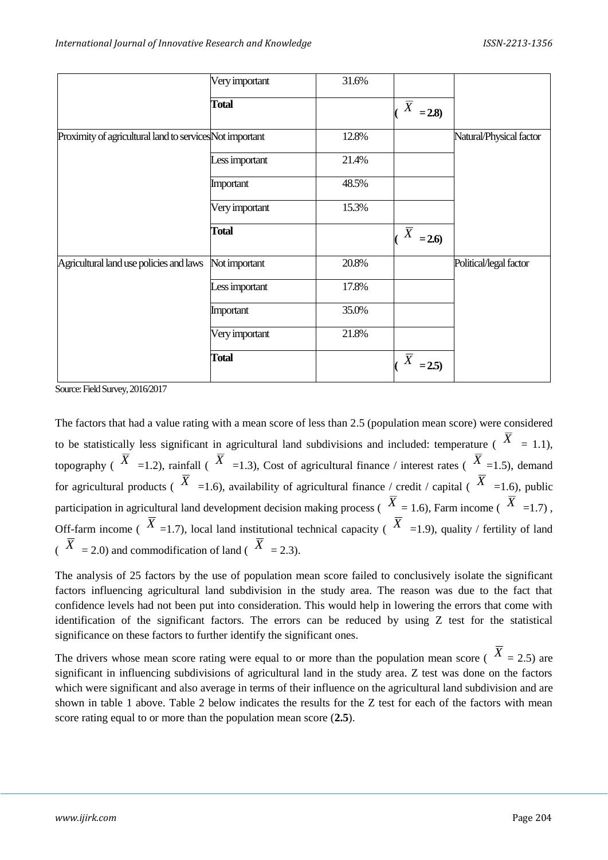|                                                          | Very important | 31.6% |                           |                         |
|----------------------------------------------------------|----------------|-------|---------------------------|-------------------------|
|                                                          | <b>Total</b>   |       | $\overline{X}$<br>$= 2.8$ |                         |
| Proximity of agricultural land to services Not important |                | 12.8% |                           | Natural/Physical factor |
|                                                          | Less important | 21.4% |                           |                         |
|                                                          | Important      | 48.5% |                           |                         |
|                                                          | Very important | 15.3% |                           |                         |
|                                                          | <b>Total</b>   |       | $\overline{X}$<br>$= 2.6$ |                         |
| Agricultural land use policies and laws                  | Not important  | 20.8% |                           | Political/legal factor  |
|                                                          | Less important | 17.8% |                           |                         |
|                                                          | Important      | 35.0% |                           |                         |
|                                                          | Very important | 21.8% |                           |                         |
|                                                          | <b>Total</b>   |       | $\overline{X}$<br>$=2.5$  |                         |

Source: Field Survey, 2016/2017

The factors that had a value rating with a mean score of less than 2.5 (population mean score) were considered to be statistically less significant in agricultural land subdivisions and included: temperature ( $\hat{X} = 1.1$ ), topography ( $\overline{X}$  =1.2), rainfall ( $\overline{X}$  =1.3), Cost of agricultural finance / interest rates ( $\overline{X}$  =1.5), demand for agricultural products ( $\overline{X}$  =1.6), availability of agricultural finance / credit / capital ( $\overline{X}$  =1.6), public participation in agricultural land development decision making process ( $X = 1.6$ ), Farm income ( $X = 1.7$ ), Off-farm income ( $\overline{X}$  =1.7), local land institutional technical capacity ( $\overline{X}$  =1.9), quality / fertility of land  $(X \neq 2.0)$  and commodification of land  $(X \neq 2.3)$ .

The analysis of 25 factors by the use of population mean score failed to conclusively isolate the significant factors influencing agricultural land subdivision in the study area. The reason was due to the fact that confidence levels had not been put into consideration. This would help in lowering the errors that come with identification of the significant factors. The errors can be reduced by using Z test for the statistical significance on these factors to further identify the significant ones.

The drivers whose mean score rating were equal to or more than the population mean score ( $X = 2.5$ ) are significant in influencing subdivisions of agricultural land in the study area. Z test was done on the factors which were significant and also average in terms of their influence on the agricultural land subdivision and are shown in table 1 above. Table 2 below indicates the results for the Z test for each of the factors with mean score rating equal to or more than the population mean score (**2.5**).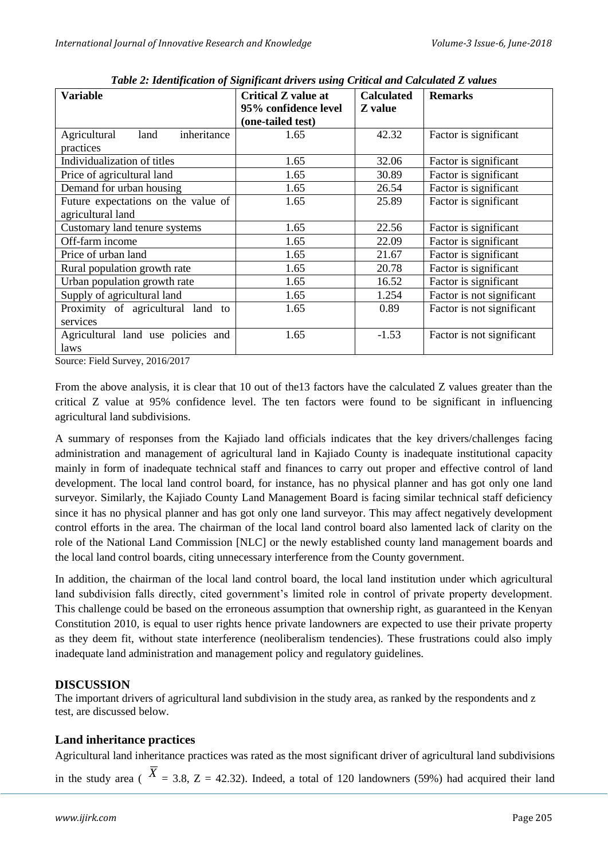| <b>Variable</b>                     | <b>Critical Z value at</b><br>95% confidence level | <b>Calculated</b><br><b>Z</b> value | <b>Remarks</b>            |
|-------------------------------------|----------------------------------------------------|-------------------------------------|---------------------------|
|                                     | (one-tailed test)                                  |                                     |                           |
| inheritance<br>Agricultural<br>land | 1.65                                               | 42.32                               | Factor is significant     |
| practices                           |                                                    |                                     |                           |
| Individualization of titles         | 1.65                                               | 32.06                               | Factor is significant     |
| Price of agricultural land          | 1.65                                               | 30.89                               | Factor is significant     |
| Demand for urban housing            | 1.65                                               | 26.54                               | Factor is significant     |
| Future expectations on the value of | 1.65                                               | 25.89                               | Factor is significant     |
| agricultural land                   |                                                    |                                     |                           |
| Customary land tenure systems       | 1.65                                               | 22.56                               | Factor is significant     |
| Off-farm income                     | 1.65                                               | 22.09                               | Factor is significant     |
| Price of urban land                 | 1.65                                               | 21.67                               | Factor is significant     |
| Rural population growth rate        | 1.65                                               | 20.78                               | Factor is significant     |
| Urban population growth rate        | 1.65                                               | 16.52                               | Factor is significant     |
| Supply of agricultural land         | 1.65                                               | 1.254                               | Factor is not significant |
| Proximity of agricultural land to   | 1.65                                               | 0.89                                | Factor is not significant |
| services                            |                                                    |                                     |                           |
| Agricultural land use policies and  | 1.65                                               | $-1.53$                             | Factor is not significant |
| laws                                |                                                    |                                     |                           |

*Table 2: Identification of Significant drivers using Critical and Calculated Z values*

Source: Field Survey, 2016/2017

From the above analysis, it is clear that 10 out of the13 factors have the calculated Z values greater than the critical Z value at 95% confidence level. The ten factors were found to be significant in influencing agricultural land subdivisions.

A summary of responses from the Kajiado land officials indicates that the key drivers/challenges facing administration and management of agricultural land in Kajiado County is inadequate institutional capacity mainly in form of inadequate technical staff and finances to carry out proper and effective control of land development. The local land control board, for instance, has no physical planner and has got only one land surveyor. Similarly, the Kajiado County Land Management Board is facing similar technical staff deficiency since it has no physical planner and has got only one land surveyor. This may affect negatively development control efforts in the area. The chairman of the local land control board also lamented lack of clarity on the role of the National Land Commission [NLC] or the newly established county land management boards and the local land control boards, citing unnecessary interference from the County government.

In addition, the chairman of the local land control board, the local land institution under which agricultural land subdivision falls directly, cited government's limited role in control of private property development. This challenge could be based on the erroneous assumption that ownership right, as guaranteed in the Kenyan Constitution 2010, is equal to user rights hence private landowners are expected to use their private property as they deem fit, without state interference (neoliberalism tendencies). These frustrations could also imply inadequate land administration and management policy and regulatory guidelines.

#### **DISCUSSION**

The important drivers of agricultural land subdivision in the study area, as ranked by the respondents and z test, are discussed below.

#### **Land inheritance practices**

Agricultural land inheritance practices was rated as the most significant driver of agricultural land subdivisions

in the study area ( $X = 3.8$ ,  $Z = 42.32$ ). Indeed, a total of 120 landowners (59%) had acquired their land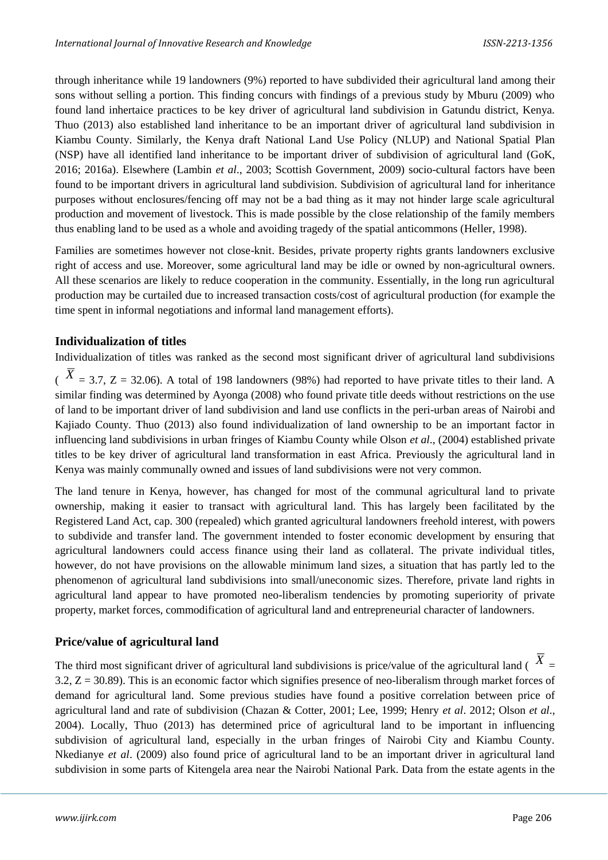through inheritance while 19 landowners (9%) reported to have subdivided their agricultural land among their sons without selling a portion. This finding concurs with findings of a previous study by Mburu (2009) who found land inhertaice practices to be key driver of agricultural land subdivision in Gatundu district, Kenya. Thuo (2013) also established land inheritance to be an important driver of agricultural land subdivision in Kiambu County. Similarly, the Kenya draft National Land Use Policy (NLUP) and National Spatial Plan (NSP) have all identified land inheritance to be important driver of subdivision of agricultural land (GoK, 2016; 2016a). Elsewhere (Lambin *et al*., 2003; Scottish Government, 2009) socio-cultural factors have been found to be important drivers in agricultural land subdivision. Subdivision of agricultural land for inheritance purposes without enclosures/fencing off may not be a bad thing as it may not hinder large scale agricultural production and movement of livestock. This is made possible by the close relationship of the family members thus enabling land to be used as a whole and avoiding tragedy of the spatial anticommons (Heller, 1998).

Families are sometimes however not close-knit. Besides, private property rights grants landowners exclusive right of access and use. Moreover, some agricultural land may be idle or owned by non-agricultural owners. All these scenarios are likely to reduce cooperation in the community. Essentially, in the long run agricultural production may be curtailed due to increased transaction costs/cost of agricultural production (for example the time spent in informal negotiations and informal land management efforts).

## **Individualization of titles**

Individualization of titles was ranked as the second most significant driver of agricultural land subdivisions

 $\hat{X}$  = 3.7, Z = 32.06). A total of 198 landowners (98%) had reported to have private titles to their land. A similar finding was determined by Ayonga (2008) who found private title deeds without restrictions on the use of land to be important driver of land subdivision and land use conflicts in the peri-urban areas of Nairobi and Kajiado County. Thuo (2013) also found individualization of land ownership to be an important factor in influencing land subdivisions in urban fringes of Kiambu County while Olson *et al*., (2004) established private titles to be key driver of agricultural land transformation in east Africa. Previously the agricultural land in Kenya was mainly communally owned and issues of land subdivisions were not very common.

The land tenure in Kenya, however, has changed for most of the communal agricultural land to private ownership, making it easier to transact with agricultural land. This has largely been facilitated by the Registered Land Act, cap. 300 (repealed) which granted agricultural landowners freehold interest, with powers to subdivide and transfer land. The government intended to foster economic development by ensuring that agricultural landowners could access finance using their land as collateral. The private individual titles, however, do not have provisions on the allowable minimum land sizes, a situation that has partly led to the phenomenon of agricultural land subdivisions into small/uneconomic sizes. Therefore, private land rights in agricultural land appear to have promoted neo-liberalism tendencies by promoting superiority of private property, market forces, commodification of agricultural land and entrepreneurial character of landowners.

## **Price/value of agricultural land**

The third most significant driver of agricultural land subdivisions is price/value of the agricultural land ( $X =$ 3.2,  $Z = 30.89$ ). This is an economic factor which signifies presence of neo-liberalism through market forces of demand for agricultural land. Some previous studies have found a positive correlation between price of agricultural land and rate of subdivision (Chazan & Cotter, 2001; Lee, 1999; Henry *et al*. 2012; Olson *et al*., 2004). Locally, Thuo (2013) has determined price of agricultural land to be important in influencing subdivision of agricultural land, especially in the urban fringes of Nairobi City and Kiambu County. Nkedianye *et al*. (2009) also found price of agricultural land to be an important driver in agricultural land subdivision in some parts of Kitengela area near the Nairobi National Park. Data from the estate agents in the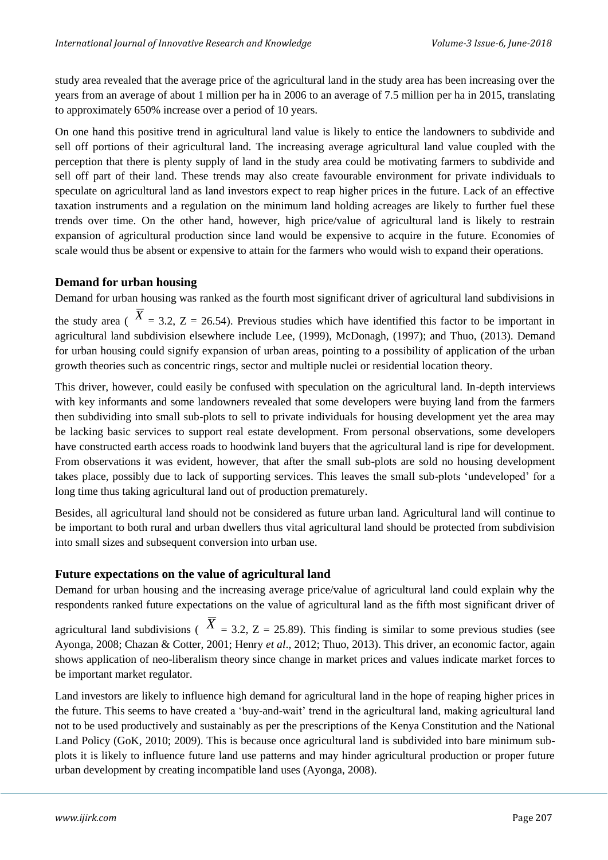study area revealed that the average price of the agricultural land in the study area has been increasing over the years from an average of about 1 million per ha in 2006 to an average of 7.5 million per ha in 2015, translating to approximately 650% increase over a period of 10 years.

On one hand this positive trend in agricultural land value is likely to entice the landowners to subdivide and sell off portions of their agricultural land. The increasing average agricultural land value coupled with the perception that there is plenty supply of land in the study area could be motivating farmers to subdivide and sell off part of their land. These trends may also create favourable environment for private individuals to speculate on agricultural land as land investors expect to reap higher prices in the future. Lack of an effective taxation instruments and a regulation on the minimum land holding acreages are likely to further fuel these trends over time. On the other hand, however, high price/value of agricultural land is likely to restrain expansion of agricultural production since land would be expensive to acquire in the future. Economies of scale would thus be absent or expensive to attain for the farmers who would wish to expand their operations.

## **Demand for urban housing**

Demand for urban housing was ranked as the fourth most significant driver of agricultural land subdivisions in

the study area ( $X = 3.2$ ,  $Z = 26.54$ ). Previous studies which have identified this factor to be important in agricultural land subdivision elsewhere include Lee, (1999), McDonagh, (1997); and Thuo, (2013). Demand for urban housing could signify expansion of urban areas, pointing to a possibility of application of the urban growth theories such as concentric rings, sector and multiple nuclei or residential location theory.

This driver, however, could easily be confused with speculation on the agricultural land. In-depth interviews with key informants and some landowners revealed that some developers were buying land from the farmers then subdividing into small sub-plots to sell to private individuals for housing development yet the area may be lacking basic services to support real estate development. From personal observations, some developers have constructed earth access roads to hoodwink land buyers that the agricultural land is ripe for development. From observations it was evident, however, that after the small sub-plots are sold no housing development takes place, possibly due to lack of supporting services. This leaves the small sub-plots 'undeveloped' for a long time thus taking agricultural land out of production prematurely.

Besides, all agricultural land should not be considered as future urban land. Agricultural land will continue to be important to both rural and urban dwellers thus vital agricultural land should be protected from subdivision into small sizes and subsequent conversion into urban use.

## **Future expectations on the value of agricultural land**

Demand for urban housing and the increasing average price/value of agricultural land could explain why the respondents ranked future expectations on the value of agricultural land as the fifth most significant driver of

agricultural land subdivisions ( $\overline{X}$  = 3.2, Z = 25.89). This finding is similar to some previous studies (see Ayonga, 2008; Chazan & Cotter, 2001; Henry *et al*., 2012; Thuo, 2013). This driver, an economic factor, again shows application of neo-liberalism theory since change in market prices and values indicate market forces to be important market regulator.

Land investors are likely to influence high demand for agricultural land in the hope of reaping higher prices in the future. This seems to have created a 'buy-and-wait' trend in the agricultural land, making agricultural land not to be used productively and sustainably as per the prescriptions of the Kenya Constitution and the National Land Policy (GoK, 2010; 2009). This is because once agricultural land is subdivided into bare minimum subplots it is likely to influence future land use patterns and may hinder agricultural production or proper future urban development by creating incompatible land uses (Ayonga, 2008).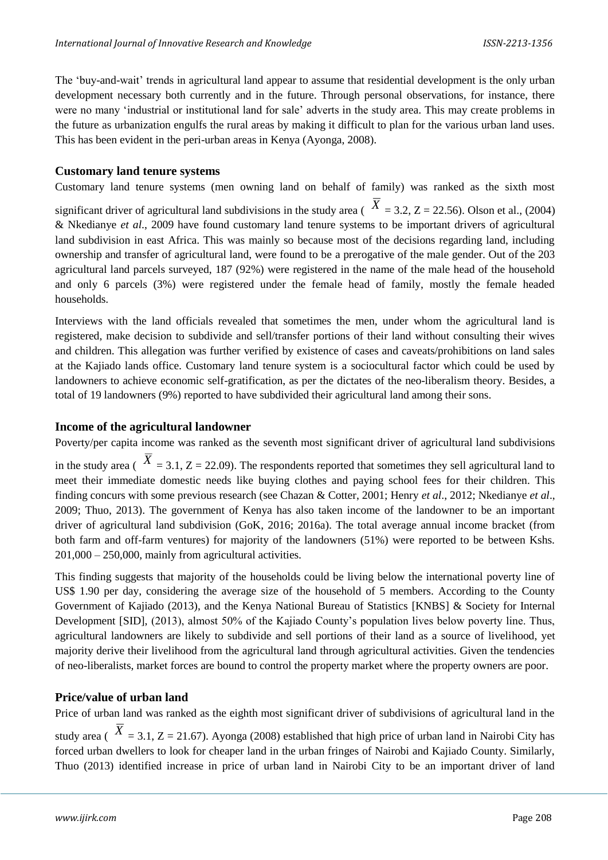The 'buy-and-wait' trends in agricultural land appear to assume that residential development is the only urban development necessary both currently and in the future. Through personal observations, for instance, there were no many 'industrial or institutional land for sale' adverts in the study area. This may create problems in the future as urbanization engulfs the rural areas by making it difficult to plan for the various urban land uses. This has been evident in the peri-urban areas in Kenya (Ayonga, 2008).

#### **Customary land tenure systems**

Customary land tenure systems (men owning land on behalf of family) was ranked as the sixth most significant driver of agricultural land subdivisions in the study area ( $X = 3.2$ ,  $Z = 22.56$ ). Olson et al., (2004) & Nkedianye *et al*., 2009 have found customary land tenure systems to be important drivers of agricultural land subdivision in east Africa. This was mainly so because most of the decisions regarding land, including ownership and transfer of agricultural land, were found to be a prerogative of the male gender. Out of the 203 agricultural land parcels surveyed, 187 (92%) were registered in the name of the male head of the household and only 6 parcels (3%) were registered under the female head of family, mostly the female headed households.

Interviews with the land officials revealed that sometimes the men, under whom the agricultural land is registered, make decision to subdivide and sell/transfer portions of their land without consulting their wives and children. This allegation was further verified by existence of cases and caveats/prohibitions on land sales at the Kajiado lands office. Customary land tenure system is a sociocultural factor which could be used by landowners to achieve economic self-gratification, as per the dictates of the neo-liberalism theory. Besides, a total of 19 landowners (9%) reported to have subdivided their agricultural land among their sons.

#### **Income of the agricultural landowner**

Poverty/per capita income was ranked as the seventh most significant driver of agricultural land subdivisions

in the study area ( $X = 3.1$ ,  $Z = 22.09$ ). The respondents reported that sometimes they sell agricultural land to meet their immediate domestic needs like buying clothes and paying school fees for their children. This finding concurs with some previous research (see Chazan & Cotter, 2001; Henry *et al*., 2012; Nkedianye *et al*., 2009; Thuo, 2013). The government of Kenya has also taken income of the landowner to be an important driver of agricultural land subdivision (GoK, 2016; 2016a). The total average annual income bracket (from both farm and off-farm ventures) for majority of the landowners (51%) were reported to be between Kshs.  $201,000 - 250,000$ , mainly from agricultural activities.

This finding suggests that majority of the households could be living below the international poverty line of US\$ 1.90 per day, considering the average size of the household of 5 members. According to the County Government of Kajiado (2013), and the Kenya National Bureau of Statistics [KNBS] & Society for Internal Development [SID], (2013), almost 50% of the Kajiado County's population lives below poverty line. Thus, agricultural landowners are likely to subdivide and sell portions of their land as a source of livelihood, yet majority derive their livelihood from the agricultural land through agricultural activities. Given the tendencies of neo-liberalists, market forces are bound to control the property market where the property owners are poor.

#### **Price/value of urban land**

Price of urban land was ranked as the eighth most significant driver of subdivisions of agricultural land in the study area ( $\overline{X}$  = 3.1, Z = 21.67). Ayonga (2008) established that high price of urban land in Nairobi City has forced urban dwellers to look for cheaper land in the urban fringes of Nairobi and Kajiado County. Similarly, Thuo (2013) identified increase in price of urban land in Nairobi City to be an important driver of land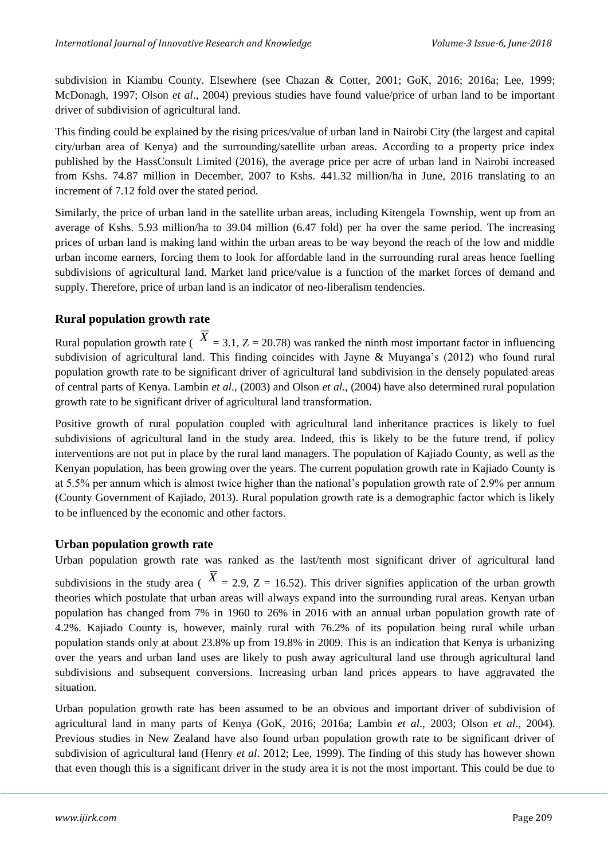subdivision in Kiambu County. Elsewhere (see Chazan & Cotter, 2001; GoK, 2016; 2016a; Lee, 1999; McDonagh, 1997; Olson *et al*., 2004) previous studies have found value/price of urban land to be important driver of subdivision of agricultural land.

This finding could be explained by the rising prices/value of urban land in Nairobi City (the largest and capital city/urban area of Kenya) and the surrounding/satellite urban areas. According to a property price index published by the HassConsult Limited (2016), the average price per acre of urban land in Nairobi increased from Kshs. 74.87 million in December, 2007 to Kshs. 441.32 million/ha in June, 2016 translating to an increment of 7.12 fold over the stated period.

Similarly, the price of urban land in the satellite urban areas, including Kitengela Township, went up from an average of Kshs. 5.93 million/ha to 39.04 million (6.47 fold) per ha over the same period. The increasing prices of urban land is making land within the urban areas to be way beyond the reach of the low and middle urban income earners, forcing them to look for affordable land in the surrounding rural areas hence fuelling subdivisions of agricultural land. Market land price/value is a function of the market forces of demand and supply. Therefore, price of urban land is an indicator of neo-liberalism tendencies.

## **Rural population growth rate**

Rural population growth rate ( $X = 3.1, Z = 20.78$ ) was ranked the ninth most important factor in influencing subdivision of agricultural land. This finding coincides with Jayne & Muyanga's (2012) who found rural population growth rate to be significant driver of agricultural land subdivision in the densely populated areas of central parts of Kenya. Lambin *et al*., (2003) and Olson *et al*., (2004) have also determined rural population growth rate to be significant driver of agricultural land transformation.

Positive growth of rural population coupled with agricultural land inheritance practices is likely to fuel subdivisions of agricultural land in the study area. Indeed, this is likely to be the future trend, if policy interventions are not put in place by the rural land managers. The population of Kajiado County, as well as the Kenyan population, has been growing over the years. The current population growth rate in Kajiado County is at 5.5% per annum which is almost twice higher than the national's population growth rate of 2.9% per annum (County Government of Kajiado, 2013). Rural population growth rate is a demographic factor which is likely to be influenced by the economic and other factors.

## **Urban population growth rate**

Urban population growth rate was ranked as the last/tenth most significant driver of agricultural land

subdivisions in the study area ( $X = 2.9$ ,  $Z = 16.52$ ). This driver signifies application of the urban growth theories which postulate that urban areas will always expand into the surrounding rural areas. Kenyan urban population has changed from 7% in 1960 to 26% in 2016 with an annual urban population growth rate of 4.2%. Kajiado County is, however, mainly rural with 76.2% of its population being rural while urban population stands only at about 23.8% up from 19.8% in 2009. This is an indication that Kenya is urbanizing over the years and urban land uses are likely to push away agricultural land use through agricultural land subdivisions and subsequent conversions. Increasing urban land prices appears to have aggravated the situation.

Urban population growth rate has been assumed to be an obvious and important driver of subdivision of agricultural land in many parts of Kenya (GoK, 2016; 2016a; Lambin *et al*., 2003; Olson *et al*., 2004). Previous studies in New Zealand have also found urban population growth rate to be significant driver of subdivision of agricultural land (Henry *et al*. 2012; Lee, 1999). The finding of this study has however shown that even though this is a significant driver in the study area it is not the most important. This could be due to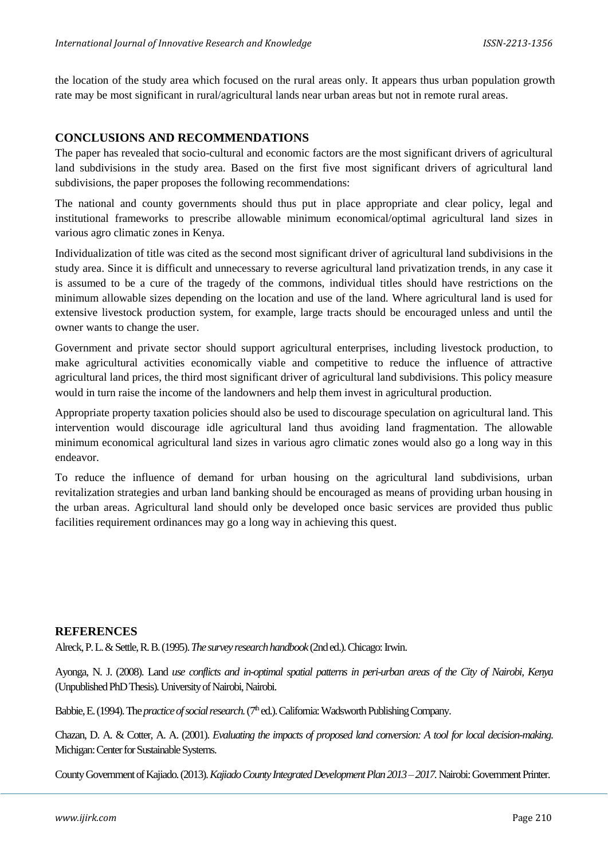the location of the study area which focused on the rural areas only. It appears thus urban population growth rate may be most significant in rural/agricultural lands near urban areas but not in remote rural areas.

#### **CONCLUSIONS AND RECOMMENDATIONS**

The paper has revealed that socio-cultural and economic factors are the most significant drivers of agricultural land subdivisions in the study area. Based on the first five most significant drivers of agricultural land subdivisions, the paper proposes the following recommendations:

The national and county governments should thus put in place appropriate and clear policy, legal and institutional frameworks to prescribe allowable minimum economical/optimal agricultural land sizes in various agro climatic zones in Kenya.

Individualization of title was cited as the second most significant driver of agricultural land subdivisions in the study area. Since it is difficult and unnecessary to reverse agricultural land privatization trends, in any case it is assumed to be a cure of the tragedy of the commons, individual titles should have restrictions on the minimum allowable sizes depending on the location and use of the land. Where agricultural land is used for extensive livestock production system, for example, large tracts should be encouraged unless and until the owner wants to change the user.

Government and private sector should support agricultural enterprises, including livestock production, to make agricultural activities economically viable and competitive to reduce the influence of attractive agricultural land prices, the third most significant driver of agricultural land subdivisions. This policy measure would in turn raise the income of the landowners and help them invest in agricultural production.

Appropriate property taxation policies should also be used to discourage speculation on agricultural land. This intervention would discourage idle agricultural land thus avoiding land fragmentation. The allowable minimum economical agricultural land sizes in various agro climatic zones would also go a long way in this endeavor.

To reduce the influence of demand for urban housing on the agricultural land subdivisions, urban revitalization strategies and urban land banking should be encouraged as means of providing urban housing in the urban areas. Agricultural land should only be developed once basic services are provided thus public facilities requirement ordinances may go a long way in achieving this quest.

#### **REFERENCES**

Alreck, P. L. & Settle, R. B. (1995). *The survey research handbook*(2nd ed.). Chicago: Irwin.

Ayonga, N. J. (2008). Land *use conflicts and in-optimal spatial patterns in peri-urban areas of the City of Nairobi, Kenya* (Unpublished PhD Thesis). University of Nairobi, Nairobi.

Babbie, E. (1994). The *practice of social research.* ( $7<sup>th</sup>$ ed.). California: Wadsworth Publishing Company.

Chazan, D. A. & Cotter, A. A. (2001). *Evaluating the impacts of proposed land conversion: A tool for local decision-making*. Michigan: Center for Sustainable Systems.

County Government of Kajiado. (2013). *Kajiado County Integrated Development Plan 2013 –2017.* Nairobi: Government Printer.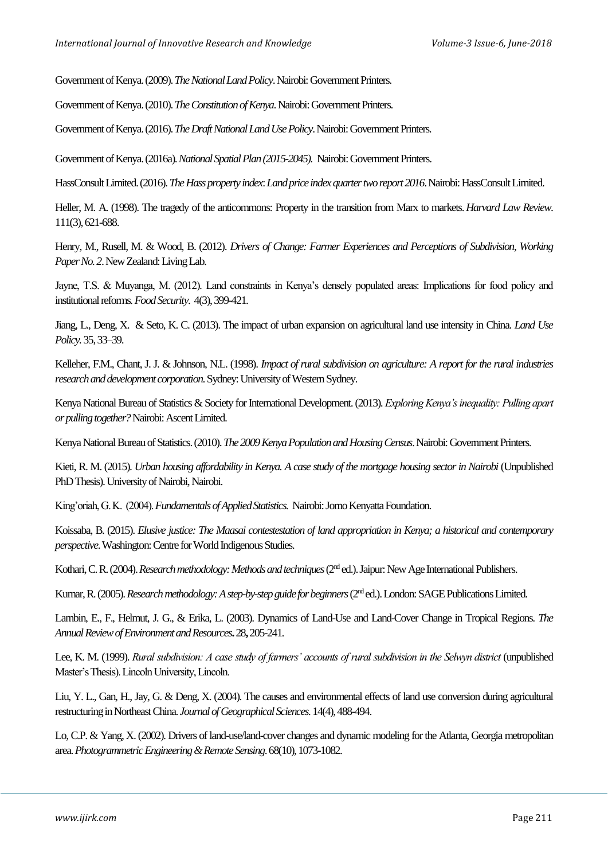Government of Kenya. (2009). *The National Land Policy*. Nairobi: Government Printers.

Government of Kenya. (2010). *The Constitution of Kenya*. Nairobi: Government Printers.

Government of Kenya. (2016). *The Draft National Land Use Policy*. Nairobi: Government Printers.

Government of Kenya. (2016a). *National Spatial Plan (2015-2045).* Nairobi: Government Printers.

HassConsult Limited. (2016). *The Hass property index: Land price index quarter two report 2016*. Nairobi: HassConsult Limited.

Heller, M. A. (1998). The tragedy of the anticommons: Property in the transition from Marx to markets.*Harvard Law Review*. 111(3), 621-688.

Henry, M., Rusell, M. & Wood, B. (2012). *Drivers of Change: Farmer Experiences and Perceptions of Subdivision*, *Working Paper No. 2*. New Zealand: Living Lab.

Jayne, T.S. & Muyanga, M. (2012). Land constraints in Kenya's densely populated areas: Implications for food policy and institutional reforms*.Food Security*. 4(3), 399-421.

Jiang, L., Deng, X. & Seto, K. C. (2013). The impact of urban expansion on agricultural land use intensity in China. *Land Use Policy.*35, 33–39.

Kelleher, F.M., Chant, J. J. & Johnson, N.L. (1998). *Impact of rural subdivision on agriculture: A report for the rural industries research and development corporation*. Sydney: University of Western Sydney.

Kenya National Bureau of Statistics & Society for International Development. (2013). *Exploring Kenya's inequality: Pulling apart or pulling together?*Nairobi: Ascent Limited.

Kenya National Bureau of Statistics. (2010). *The 2009 Kenya Population and Housing Census*. Nairobi: Government Printers.

Kieti, R. M. (2015). *Urban housing affordability in Kenya. A case study of the mortgage housing sector in Nairobi* (Unpublished PhD Thesis). University of Nairobi, Nairobi.

King'oriah, G. K. (2004). *Fundamentals of Applied Statistics.* Nairobi: Jomo Kenyatta Foundation.

Koissaba, B. (2015). *Elusive justice: The Maasai contestestation of land appropriation in Kenya; a historical and contemporary perspective*. Washington: Centre for World Indigenous Studies.

Kothari, C. R. (2004). *Research methodology: Methods and techniques* (2<sup>nd</sup> ed.). Jaipur: New Age International Publishers.

Kumar, R. (2005). *Research methodology: A step-by-step guide for beginners* (2<sup>nd</sup> ed.). London: SAGE Publications Limited.

Lambin, E., F., Helmut, J. G., & Erika, L. (2003). Dynamics of Land-Use and Land-Cover Change in Tropical Regions. *The Annual Review of Environment and Resources***.** 28**,** 205-241.

Lee, K. M. (1999). *Rural subdivision: A case study of farmers' accounts of rural subdivision in the Selwyn district* (unpublished Master's Thesis). Lincoln University, Lincoln.

Liu, Y. L., Gan, H., Jay, G. & Deng, X. (2004). The causes and environmental effects of land use conversion during agricultural restructuring in Northeast China. *Journal of Geographical Sciences.*14(4), 488-494.

Lo, C.P. & Yang, X. (2002). Drivers of land-use/land-cover changes and dynamic modeling for the Atlanta, Georgia metropolitan area. *Photogrammetric Engineering & Remote Sensing*. 68(10), 1073-1082.